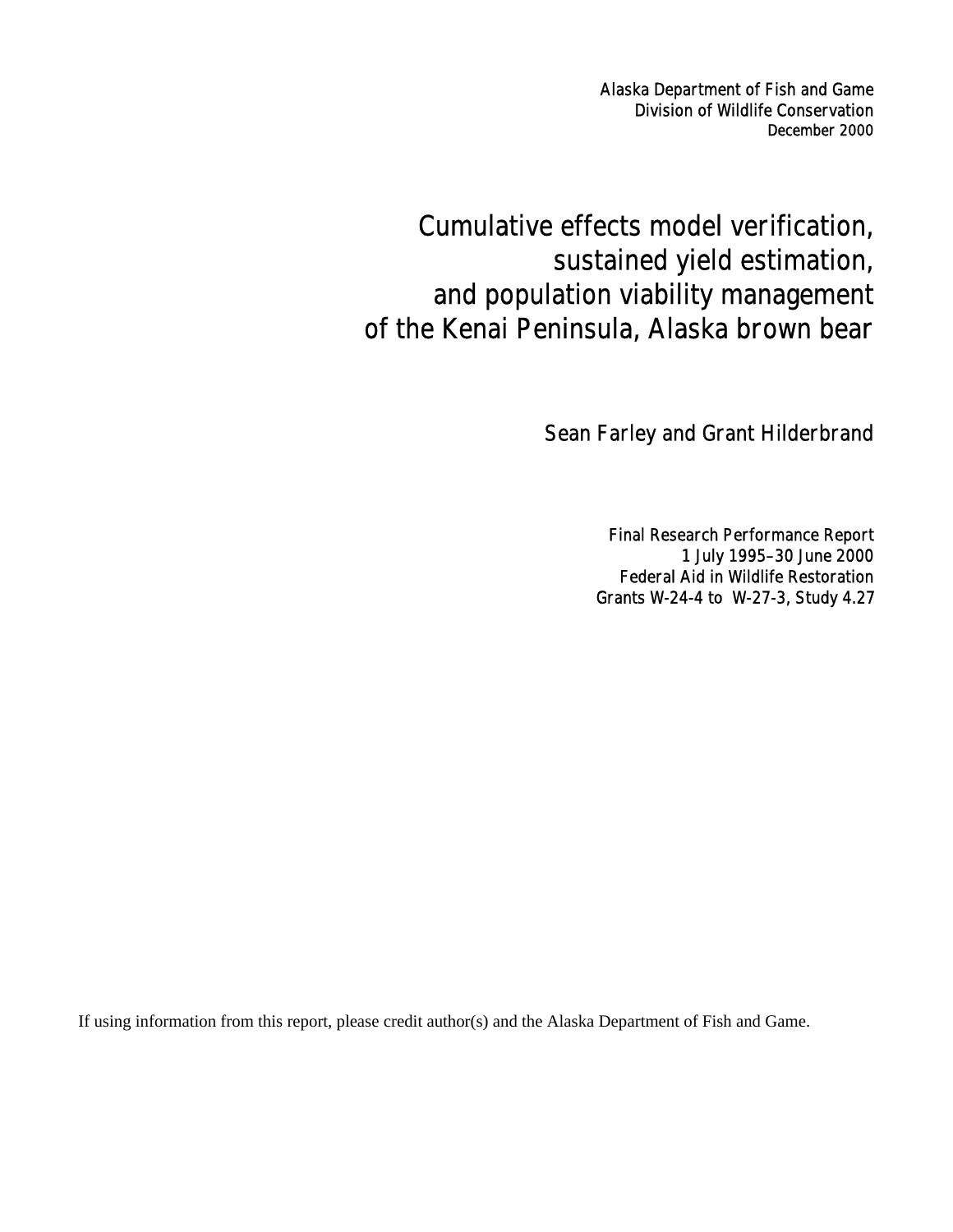Alaska Department of Fish and Game Division of Wildlife Conservation December 2000

# Cumulative effects model verification, sustained yield estimation, and population viability management of the Kenai Peninsula, Alaska brown bear

Sean Farley and Grant Hilderbrand

Final Research Performance Report 1 July 1995–30 June 2000 Federal Aid in Wildlife Restoration Grants W-24-4 to W-27-3, Study 4.27

If using information from this report, please credit author(s) and the Alaska Department of Fish and Game.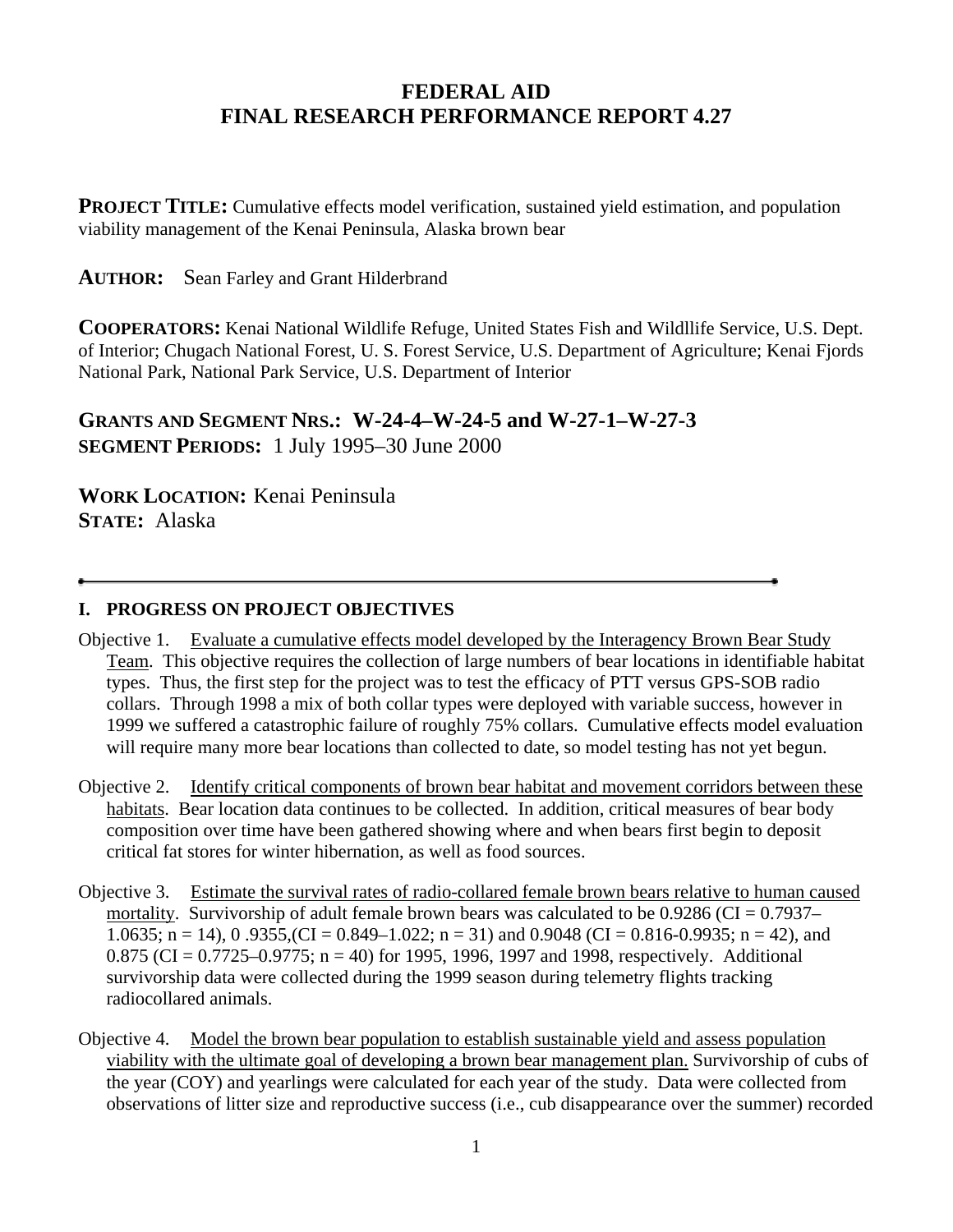# **FEDERAL AID FINAL RESEARCH PERFORMANCE REPORT 4.27**

**PROJECT TITLE:** Cumulative effects model verification, sustained yield estimation, and population viability management of the Kenai Peninsula, Alaska brown bear

**AUTHOR:** Sean Farley and Grant Hilderbrand

**COOPERATORS:** Kenai National Wildlife Refuge, United States Fish and Wildllife Service, U.S. Dept. of Interior; Chugach National Forest, U. S. Forest Service, U.S. Department of Agriculture; Kenai Fjords National Park, National Park Service, U.S. Department of Interior

**GRANTS AND SEGMENT NRS.: W-24-4–W-24-5 and W-27-1–W-27-3 SEGMENT PERIODS:** 1 July 1995–30 June 2000

**WORK LOCATION:** Kenai Peninsula **STATE:** Alaska

## **I. PROGRESS ON PROJECT OBJECTIVES**

- Objective 1. Evaluate a cumulative effects model developed by the Interagency Brown Bear Study Team. This objective requires the collection of large numbers of bear locations in identifiable habitat types. Thus, the first step for the project was to test the efficacy of PTT versus GPS-SOB radio collars. Through 1998 a mix of both collar types were deployed with variable success, however in 1999 we suffered a catastrophic failure of roughly 75% collars. Cumulative effects model evaluation will require many more bear locations than collected to date, so model testing has not yet begun.
- Objective 2. Identify critical components of brown bear habitat and movement corridors between these habitats. Bear location data continues to be collected. In addition, critical measures of bear body composition over time have been gathered showing where and when bears first begin to deposit critical fat stores for winter hibernation, as well as food sources.
- Objective 3. Estimate the survival rates of radio-collared female brown bears relative to human caused mortality. Survivorship of adult female brown bears was calculated to be  $0.9286$  (CI =  $0.7937-$ 1.0635; n = 14), 0.9355, (CI = 0.849–1.022; n = 31) and 0.9048 (CI = 0.816-0.9935; n = 42), and 0.875 (CI =  $0.7725-0.9775$ ; n = 40) for 1995, 1996, 1997 and 1998, respectively. Additional survivorship data were collected during the 1999 season during telemetry flights tracking radiocollared animals.
- Objective 4. Model the brown bear population to establish sustainable yield and assess population viability with the ultimate goal of developing a brown bear management plan. Survivorship of cubs of the year (COY) and yearlings were calculated for each year of the study. Data were collected from observations of litter size and reproductive success (i.e., cub disappearance over the summer) recorded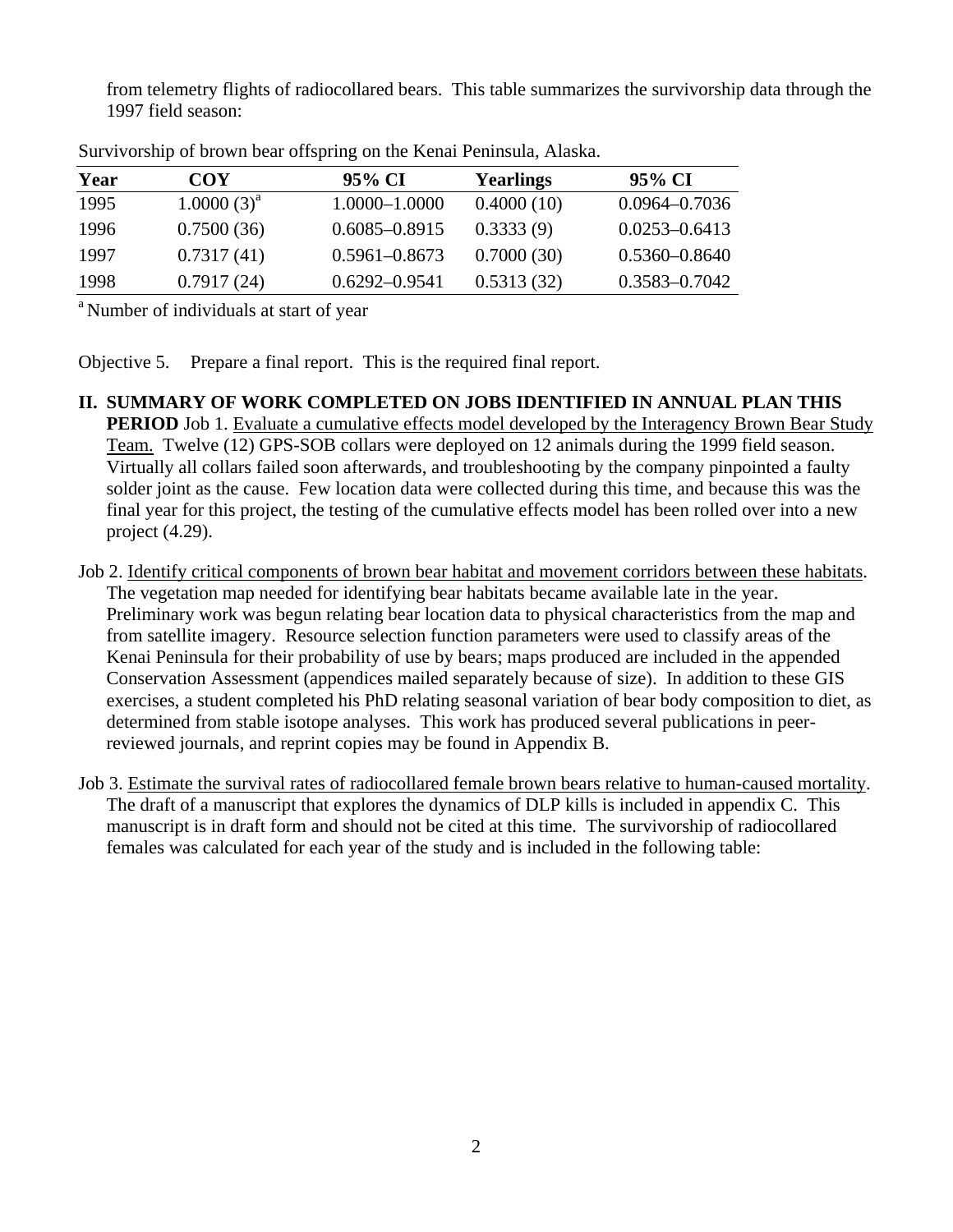from telemetry flights of radiocollared bears. This table summarizes the survivorship data through the 1997 field season:

| Year | COY             | 95% CI            | <b>Yearlings</b> | 95% CI            |
|------|-----------------|-------------------|------------------|-------------------|
| 1995 | $1.0000(3)^{a}$ | 1.0000-1.0000     | 0.4000(10)       | $0.0964 - 0.7036$ |
| 1996 | 0.7500(36)      | $0.6085 - 0.8915$ | 0.3333(9)        | $0.0253 - 0.6413$ |
| 1997 | 0.7317(41)      | $0.5961 - 0.8673$ | 0.7000(30)       | $0.5360 - 0.8640$ |
| 1998 | 0.7917(24)      | $0.6292 - 0.9541$ | 0.5313(32)       | 0.3583-0.7042     |

Survivorship of brown bear offspring on the Kenai Peninsula, Alaska.

<sup>a</sup> Number of individuals at start of year

Objective 5. Prepare a final report. This is the required final report.

- **II. SUMMARY OF WORK COMPLETED ON JOBS IDENTIFIED IN ANNUAL PLAN THIS PERIOD** Job 1. Evaluate a cumulative effects model developed by the Interagency Brown Bear Study Team. Twelve (12) GPS-SOB collars were deployed on 12 animals during the 1999 field season. Virtually all collars failed soon afterwards, and troubleshooting by the company pinpointed a faulty solder joint as the cause. Few location data were collected during this time, and because this was the final year for this project, the testing of the cumulative effects model has been rolled over into a new project (4.29).
- Job 2. Identify critical components of brown bear habitat and movement corridors between these habitats. The vegetation map needed for identifying bear habitats became available late in the year. Preliminary work was begun relating bear location data to physical characteristics from the map and from satellite imagery. Resource selection function parameters were used to classify areas of the Kenai Peninsula for their probability of use by bears; maps produced are included in the appended Conservation Assessment (appendices mailed separately because of size). In addition to these GIS exercises, a student completed his PhD relating seasonal variation of bear body composition to diet, as determined from stable isotope analyses. This work has produced several publications in peerreviewed journals, and reprint copies may be found in Appendix B.
- Job 3. Estimate the survival rates of radiocollared female brown bears relative to human-caused mortality. The draft of a manuscript that explores the dynamics of DLP kills is included in appendix C. This manuscript is in draft form and should not be cited at this time. The survivorship of radiocollared females was calculated for each year of the study and is included in the following table: